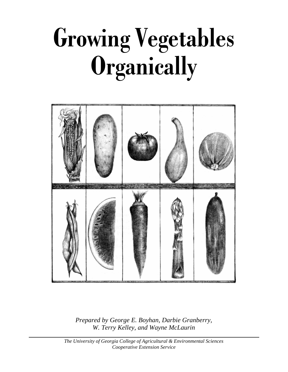# **Growing Vegetables Organically**



*Prepared by George E. Boyhan, Darbie Granberry, W. Terry Kelley, and Wayne McLaurin*

*The University of Georgia College of Agricultural & Environmental Sciences Cooperative Extension Service*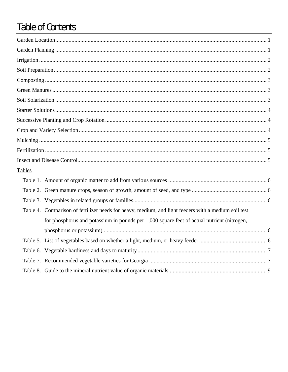# Table of Contents

| <b>Tables</b> |                                                                                                      |  |
|---------------|------------------------------------------------------------------------------------------------------|--|
|               |                                                                                                      |  |
|               |                                                                                                      |  |
|               |                                                                                                      |  |
|               | Table 4. Comparison of fertilizer needs for heavy, medium, and light feeders with a medium soil test |  |
|               | for phosphorus and potassium in pounds per 1,000 square feet of actual nutrient (nitrogen,           |  |
|               |                                                                                                      |  |
|               |                                                                                                      |  |
|               |                                                                                                      |  |
|               |                                                                                                      |  |
|               |                                                                                                      |  |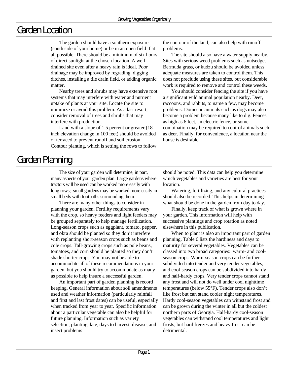# Garden Location

The garden should have a southern exposure (south side of your home) or be in an open field if at all possible. There should be a minimum of six hours of direct sunlight at the chosen location. A welldrained site even after a heavy rain is ideal. Poor drainage may be improved by regrading, digging ditches, installing a tile drain field, or adding organic matter.

Nearby trees and shrubs may have extensive root systems that may interfere with water and nutrient uptake of plants at your site. Locate the site to minimize or avoid this problem. As a last resort, consider removal of trees and shrubs that may interfere with production.

Land with a slope of 1.5 percent or greater (18 inch elevation change in 100 feet) should be avoided or terraced to prevent runoff and soil erosion. Contour planting, which is setting the rows to follow the contour of the land, can also help with runoff problems.

The site should also have a water supply nearby. Sites with serious weed problems such as nutsedge, Bermuda grass, or kudzu should be avoided unless adequate measures are taken to control them. This does not preclude using these sites, but considerable work is required to remove and control these weeds.

You should consider fencing the site if you have a significant wild animal population nearby. Deer, raccoons, and rabbits, to name a few, may become problems. Domestic animals such as dogs may also become a problem because many like to dig. Fences as high as 6 feet, an electric fence, or some combination may be required to control animals such as deer. Finally, for convenience, a location near the house is desirable.

# Garden Planning

The size of your garden will determine, in part, many aspects of your garden plan. Large gardens where tractors will be used can be worked more easily with long rows; small gardens may be worked more easily in small beds with footpaths surrounding them.

There are many other things to consider in planning your garden. Fertility requirements vary with the crop, so heavy feeders and light feeders may be grouped separately to help manage fertilization. Long-season crops such as eggplant, tomato, pepper, and okra should be planted so they don't interfere with replanting short-season crops such as beans and cole crops. Tall-growing crops such as pole beans, tomatoes, and corn should be planted so they don't shade shorter crops. You may not be able to accommodate all of these recommendations in your garden, but you should try to accommodate as many as possible to help insure a successful garden.

An important part of garden planning is record keeping. General information about soil amendments used and weather information (particularly rainfall and first and last frost dates) can be useful, especially when tracked from year to year. Specific information about a particular vegetable can also be helpful for future planning. Information such as variety selection, planting date, days to harvest, disease, and insect problems

should be noted. This data can help you determine which vegetables and varieties are best for your location.

Watering, fertilizing, and any cultural practices should also be recorded. This helps in determining what should be done in the garden from day to day.

Finally, keep track of what is grown where in your garden. This information will help with successive plantings and crop rotation as noted elsewhere in this publication.

When to plant is also an important part of garden planning. Table 6 lists the hardiness and days to maturity for several vegetables. Vegetables can be classed into two broad categories: warm- and coolseason crops. Warm-season crops can be further subdivided into tender and very tender vegetables, and cool-season crops can be subdivided into hardy and half-hardy crops. Very tender crops cannot stand any frost and will not do well under cool nighttime temperatures (below 55°F). Tender crops also don't like frost but can stand cooler night temperatures. Hardy cool-season vegetables can withstand frost and can be grown during the winter in all but the coldest northern parts of Georgia. Half-hardy cool-season vegetables can withstand cool temperatures and light frosts, but hard freezes and heavy frost can be detrimental.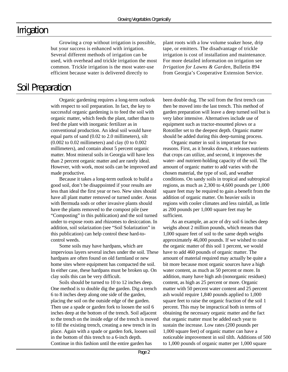#### Irrigation

Growing a crop without irrigation is possible, but your success is enhanced with irrigation. Several different methods of irrigation can be used, with overhead and trickle irrigation the most common. Trickle irrigation is the most water-use efficient because water is delivered directly to

#### Soil Preparation

Organic gardening requires a long-term outlook with respect to soil preparation. In fact, the key to successful organic gardening is to feed the soil with organic matter, which feeds the plant, rather than to feed the plant with inorganic fertilizer as in conventional production. An ideal soil would have equal parts of sand (0.02 to 2.0 millimeters), silt (0.002 to 0.02 millimeters) and clay (0 to 0.002 millimeters), and contain about 5 percent organic matter. Most mineral soils in Georgia will have less than 2 percent organic matter and are rarely ideal. However, with work, most soils can be improved and made productive.

Because it takes a long-term outlook to build a good soil, don't be disappointed if your results are less than ideal the first year or two. New sites should have all plant matter removed or turned under. Areas with Bermuda sods or other invasive plants should have the plants removed to the compost pile (see "Composting" in this publication) and the soil turned under to expose roots and rhizomes to desiccation. In addition, soil solarization (see "Soil Solarization" in this publication) can help control these hard-tocontrol weeds.

Some soils may have hardpans, which are impervious layers several inches under the soil. These hardpans are often found on old farmland or new home sites where equipment has compacted the soil. In either case, these hardpans must be broken up. On clay soils this can be very difficult.

Soils should be turned to 10 to 12 inches deep. One method is to double dig the garden. Dig a trench 6 to 8 inches deep along one side of the garden, placing the soil on the outside edge of the garden. Then use a spade or garden fork to loosen the soil 6 inches deep at the bottom of the trench. Soil adjacent to the trench on the inside edge of the trench is moved to fill the existing trench, creating a new trench in its place. Again with a spade or garden fork, loosen soil in the bottom of this trench to a 6-inch depth. Continue in this fashion until the entire garden has

plant roots with a low volume soaker hose, drip tape, or emitters. The disadvantage of trickle irrigation is cost of installation and maintenance. For more detailed information on irrigation see *Irrigation for Lawns & Garden*, Bulletin 894 from Georgia's Cooperative Extension Service.

been double dug. The soil from the first trench can then be moved into the last trench. This method of garden preparation will leave a deep turned soil but is very labor intensive. Alternatives include use of equipment such as tractor-mounted plows or a Rototiller set to the deepest depth. Organic matter should be added during this deep-turning process.

Organic matter in soil is important for two reasons. First, as it breaks down, it releases nutrients that crops can utilize, and second, it improves the water- and nutrient-holding capacity of the soil. The amount of organic matter to add varies with the chosen material, the type of soil, and weather conditions. On sandy soils in tropical and subtropical regions, as much as 2,300 to 4,600 pounds per 1,000 square feet may be required to gain a benefit from the addition of organic matter. On heavier soils in regions with cooler climates and less rainfall, as little as 200 pounds per 1,000 square feet may be sufficient.

As an example, an acre of dry soil 6 inches deep weighs about 2 million pounds, which means that 1,000 square feet of soil to the same depth weighs approximately 46,000 pounds. If we wished to raise the organic matter of this soil 1 percent, we would have to add 460 pounds of organic matter. The amount of material required may actually be quite a bit more because most organic sources have a high water content, as much as 50 percent or more. In addition, many have high ash (nonorganic residues) content, as high as 25 percent or more. Organic matter with 50 percent water content and 25 percent ash would require 1,840 pounds applied to 1,000 square feet to raise the organic fraction of the soil 1 percent. This may be impractical both in terms of obtaining the necessary organic matter and the fact that organic matter must be added each year to sustain the increase. Low rates (200 pounds per 1,000 square feet) of organic matter can have a noticeable improvement in soil tilth. Additions of 500 to 1,000 pounds of organic matter per 1,000 square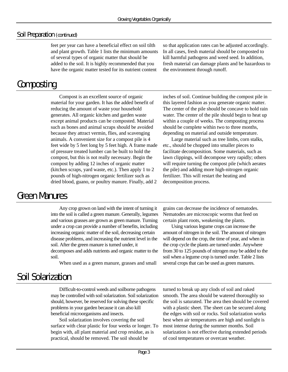#### Soil Preparation (continued)

feet per year can have a beneficial effect on soil tilth and plant growth. Table 1 lists the minimum amounts of several types of organic matter that should be added to the soil. It is highly recommended that you have the organic matter tested for its nutrient content

Composting

Compost is an excellent source of organic material for your garden. It has the added benefit of reducing the amount of waste your household generates. All organic kitchen and garden waste except animal products can be composted. Material such as bones and animal scraps should be avoided because they attract vermin, flies, and scavenging animals. A convenient size for a compost pile is 4 feet wide by 5 feet long by 5 feet high. A frame made of pressure treated lumber can be built to hold the compost, but this is not really necessary. Begin the compost by adding 12 inches of organic matter (kitchen scraps, yard waste, etc.). Then apply 1 to 2 pounds of high-nitrogen organic fertilizer such as dried blood, guano, or poultry manure. Finally, add 2

so that application rates can be adjusted accordingly. In all cases, fresh material should be composted to kill harmful pathogens and weed seed. In addition, fresh material can damage plants and be hazardous to the environment through runoff.

inches of soil. Continue building the compost pile in this layered fashion as you generate organic matter. The center of the pile should be concave to hold rain water. The center of the pile should begin to heat up within a couple of weeks. The composting process should be complete within two to three months, depending on material and outside temperature.

Large material such as tree limbs, corn stalks, etc., should be chopped into smaller pieces to facilitate decomposition. Some materials, such as lawn clippings, will decompose very rapidly; others will require turning the compost pile (which aerates the pile) and adding more high-nitrogen organic fertilizer. This will restart the heating and decomposition process.

#### Green Manures

Any crop grown on land with the intent of turning it into the soil is called a green manure. Generally, legumes and various grasses are grown as green manure. Turning under a crop can provide a number of benefits, including increasing organic matter of the soil, decreasing certain disease problems, and increasing the nutrient level in the soil. After the green manure is turned under, it

decomposes and adds nutrients and organic matter to the soil.

When used as a green manure, grasses and small

grains can decrease the incidence of nematodes. Nematodes are microscopic worms that feed on certain plant roots, weakening the plants.

Using various legume crops can increase the amount of nitrogen in the soil. The amount of nitrogen will depend on the crop, the time of year, and when in the crop cycle the plants are turned under. Anywhere from 30 to 125 pounds of nitrogen may be added to the soil when a legume crop is turned under. Table 2 lists several crops that can be used as green manures.

### Soil Solarization

Difficult-to-control weeds and soilborne pathogens may be controlled with soil solarization. Soil solarization should, however, be reserved for solving these specific problems in your garden because it can also kill beneficial microorganisms and insects.

Soil solarization involves covering the soil surface with clear plastic for four weeks or longer. To begin with, all plant material and crop residue, as is practical, should be removed. The soil should be

turned to break up any clods of soil and raked smooth. The area should be watered thoroughly so the soil is saturated. The area then should be covered with a plastic sheet. The sheet can be secured along the edges with soil or rocks. Soil solarization works best when air temperatures are high and sunlight is most intense during the summer months. Soil solarization is not effective during extended periods of cool temperatures or overcast weather.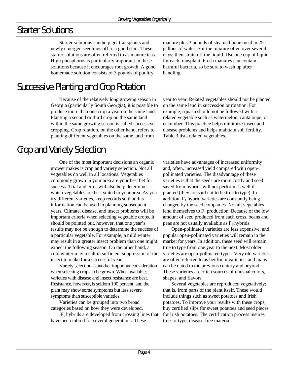### Starter Solutions

Starter solutions can help get transplants and newly emerged seedlings off to a good start. These starter solutions are often referred to as manure teas. High phosphorus is particularly important in these solutions because it encourages root growth. A good homemade solution consists of 3 pounds of poultry

# Successive Planting and Crop Rotation

Because of the relatively long growing season in Georgia (particularly South Georgia), it is possible to produce more than one crop a year on the same land. Planting a second or third crop on the same land within the same growing season is called successive cropping. Crop rotation, on the other hand, refers to planting different vegetables on the same land from

Crop and Variety Selection

One of the most important decisions an organic grower makes is crop and variety selection. Not all vegetables do well in all locations. Vegetables commonly grown in your area are your best bet for success. Trial and error will also help determine which vegetables are best suited to your area. As you try different varieties, keep records so that this information can be used in planning subsequent years. Climate, disease, and insect problems will be important criteria when selecting vegetable crops. It should be pointed out, however, that one year's results may not be enough to determine the success of a particular vegetable. For example, a mild winter may result in a greater insect problem than one might expect the following season. On the other hand, a cold winter may result in sufficient suppression of the insect to make for a successful year.

Variety selection is another important consideration when selecting crops to be grown. When available, varieties with disease and insect resistance are best. Resistance, however, is seldom 100 percent, and the plant may show some symptoms but less severe symptoms than susceptible varieties.

Varieties can be grouped into two broad categories based on how they were developed.

 $F_1$  hybrids are developed from crossing lines that have been inbred for several generations. These

manure plus 3 pounds of steamed bone meal in 25 gallons of water. Stir the mixture often over several days; then strain off the liquid. Use one cup of liquid for each transplant. Fresh manures can contain harmful bacteria, so be sure to wash up after handling.

year to year. Related vegetables should not be planted on the same land in succession or rotation. For example, squash should not be followed with a related vegetable such as watermelon, cantaloupe, or cucumber. This practice helps minimize insect and disease problems and helps maintain soil fertility. Table 3 lists related vegetables.

varieties have advantages of increased uniformity and, often, increased yield compared with openpollinated varieties. The disadvantage of these varieties is that the seeds are more costly and seed saved from hybrids will not perform as well if planted (they are said not to be true to type). In addition,  $F_1$  hybrid varieties are constantly being changed by the seed companies. Not all vegetables lend themselves to  $F_1$  production. Because of the low amount of seed produced from each cross, beans and peas are not usually available as  $F_1$  hybrids.

Open-pollinated varieties are less expensive, and popular open-pollinated varieties will remain in the market for years. In addition, these seed will remain true to type from one year to the next. Most older varieties are open-pollinated types. Very old varieties are often referred to as heirloom varieties, and many can be dated to the previous century and beyond. These varieties are often sources of unusual colors, shapes, and flavors.

Several vegetables are reproduced vegetatively; that is, from parts of the plant itself. These would include things such as sweet potatoes and Irish potatoes. To improve your results with these crops, buy certified slips for sweet potatoes and seed pieces for Irish potatoes. The certification process insures true-to-type, disease-free material.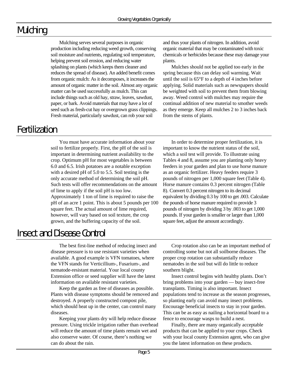# Mulching

Mulching serves several purposes in organic production including reducing weed growth, conserving soil moisture and nutrients, regulating soil temperature, helping prevent soil erosion, and reducing water splashing on plants (which keeps them cleaner and reduces the spread of disease). An added benefit comes from organic mulch: As it decomposes, it increases the amount of organic matter in the soil. Almost any organic matter can be used successfully as mulch. This can include things such as old hay, straw, leaves, sawdust, paper, or bark. Avoid materials that may have a lot of seed such as fresh-cut hay or overgrown grass clippings. Fresh material, particularly sawdust, can rob your soil

and thus your plants of nitrogen. In addition, avoid organic material that may be contaminated with toxic chemicals or herbicides because these may damage your plants.

Mulches should not be applied too early in the spring because this can delay soil warming. Wait until the soil is 65°F to a depth of 4 inches before applying. Solid materials such as newspapers should be weighted with soil to prevent them from blowing away. Weed control with mulches may require the continual addition of new material to smother weeds as they emerge. Keep all mulches 2 to 3 inches back from the stems of plants.

#### Fertilization

You must have accurate information about your soil to fertilize properly. First, the pH of the soil is important in determining nutrient availability to the crop. Optimum pH for most vegetables is between 6.0 and 6.5. Irish potatoes are a notable exception with a desired pH of 5.0 to 5.5. Soil testing is the only accurate method of determining the soil pH. Such tests will offer recommendations on the amount of lime to apply if the soil pH is too low. Approximately 1 ton of lime is required to raise the pH of an acre 1 point. This is about 5 pounds per 100 square feet. The actual amount of lime required, however, will vary based on soil texture, the crop grown, and the buffering capacity of the soil.

In order to determine proper fertilization, it is important to know the nutrient status of the soil, which a soil test will provide. To illustrate using Tables 4 and 8, assume you are planting only heavy feeders in your garden and plan to use horse manure as an organic fertilizer. Heavy feeders require 3 pounds of nitrogen per 1,000 square feet (Table 4). Horse manure contains 0.3 percent nitrogen (Table 8). Convert 0.3 percent nitrogen to its decimal equivalent by dividing 0.3 by 100 to get .003. Calculate the pounds of horse manure required to provide 3 pounds of nitrogen by dividing 3 by .003 to get 1,000 pounds. If your garden is smaller or larger than 1,000 square feet, adjust the amount accordingly.

#### Insect and Disease Control

The best first-line method of reducing insect and disease pressure is to use resistant varieties when available. A good example is VFN tomatoes, where the VFN stands for Verticillium-, Fusarium-, and nematode-resistant material. Your local county Extension office or seed supplier will have the latest information on available resistant varieties.

Keep the garden as free of diseases as possible. Plants with disease symptoms should be removed and destroyed. A properly constructed compost pile, which should heat up in the center, can control many diseases.

Keeping your plants dry will help reduce disease pressure. Using trickle irrigation rather than overhead will reduce the amount of time plants remain wet and also conserve water. Of course, there's nothing we can do about the rain.

Crop rotation also can be an important method of controlling some but not all soilborne diseases. The proper crop rotation can substantially reduce nematodes in the soil but will do little to reduce southern blight.

Insect control begins with healthy plants. Don't bring problems into your garden — buy insect-free transplants. Timing is also important. Insect populations tend to increase as the season progresses, so planting early can avoid many insect problems. Encourage beneficial insects to stay in your garden. This can be as easy as nailing a horizontal board to a fence to encourage wasps to build a nest.

Finally, there are many organically acceptable products that can be applied to your crops. Check with your local county Extension agent, who can give you the latest information on these products.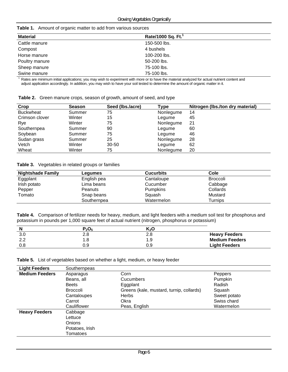| <b>Material</b> | Rate/1000 Sq. Ft. |  |
|-----------------|-------------------|--|
| Cattle manure   | 150-500 lbs.      |  |
| Compost         | 4 bushels         |  |
| Horse manure    | 100-200 lbs.      |  |
| Poultry manure  | 50-200 lbs.       |  |
| Sheep manure    | 75-100 lbs.       |  |
| Swine manure    | 75-100 lbs.       |  |

 $1$  Rates are minimum initial applications; you may wish to experiment with more or to have the material analyzed for actual nutrient content and adjust application accordingly. In addition, you may wish to have your soil tested to determine the amount of organic matter in it.

| Table 2. Green manure crops, season of growth, amount of seed, and type |  |  |  |  |  |
|-------------------------------------------------------------------------|--|--|--|--|--|
|-------------------------------------------------------------------------|--|--|--|--|--|

| Crop             | <b>Season</b> | Seed (Ibs./acre) | Type      | Nitrogen (Ibs./ton dry material) |
|------------------|---------------|------------------|-----------|----------------------------------|
| <b>Buckwheat</b> | Summer        | 75               | Nonlegume | 14                               |
| Crimson clover   | Winter        | 15               | Legume    | 45                               |
| Rye              | Winter        | 75               | Nonlegume | 21                               |
| Southernpea      | Summer        | 90               | Legume    | 60                               |
| Soybean          | Summer        | 75               | Legume    | 46                               |
| Sudan grass      | Summer        | 25               | Nonlegume | 28                               |
| Vetch            | Winter        | $30 - 50$        | Legume    | 62                               |
| Wheat            | Winter        | 75               | Nonlegume | 20                               |

**Table 3.** Vegetables in related groups or families

| <b>Nightshade Family</b> | Lequmes     | <b>Cucurbits</b> | Cole            |
|--------------------------|-------------|------------------|-----------------|
| Eggplant                 | English pea | Cantaloupe       | <b>Broccoli</b> |
| Irish potato             | Lima beans  | Cucumber         | Cabbage         |
| Pepper                   | Peanuts     | <b>Pumpkins</b>  | Collards        |
| Tomato                   | Snap beans  | Squash           | Mustard         |
|                          | Southernpea | Watermelon       | Turnips         |

**Table 4.** Comparison of fertilizer needs for heavy, medium, and light feeders with a medium soil test for phosphorus and potassium in pounds per 1,000 square feet of actual nutrient (nitrogen, phosphorus or potassium)

| N         | $P_2O_5$ | K›O  |                       |
|-----------|----------|------|-----------------------|
| 3.0       | 2.8      | ہ ∠  | <b>Heavy Feeders</b>  |
| ററ<br>L.L | 1.8      | l .9 | <b>Medium Feeders</b> |
| 0.8       | 0.9      | ა.9  | <b>Light Feeders</b>  |

**Table 5.** List of vegetables based on whether a light, medium, or heavy feeder

| <b>Light Feeders</b>  | Southernpeas    |                                          |              |
|-----------------------|-----------------|------------------------------------------|--------------|
| <b>Medium Feeders</b> | Asparagus       | Corn                                     | Peppers      |
|                       | Beans, all      | <b>Cucumbers</b>                         | Pumpkin      |
|                       | <b>Beets</b>    | Eggplant                                 | Radish       |
|                       | <b>Broccoli</b> | Greens (kale, mustard, turnip, collards) | Squash       |
|                       | Cantaloupes     | <b>Herbs</b>                             | Sweet potato |
|                       | Carrot          | Okra                                     | Swiss chard  |
|                       | Cauliflower     | Peas, English                            | Watermelon   |
| <b>Heavy Feeders</b>  | Cabbage         |                                          |              |
|                       | Lettuce         |                                          |              |
|                       | Onions          |                                          |              |
|                       | Potatoes, Irish |                                          |              |
|                       | Tomatoes        |                                          |              |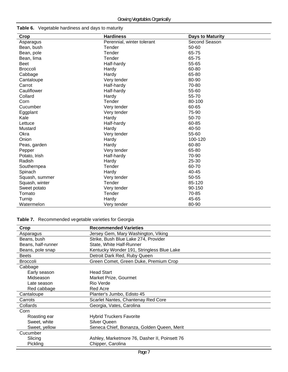#### **Table 6.** Vegetable hardiness and days to maturity

| Crop            | <b>Hardiness</b>           | <b>Days to Maturity</b> |
|-----------------|----------------------------|-------------------------|
| Asparagus       | Perennial, winter tolerant | Second Season           |
| Bean, bush      | Tender                     | 50-60                   |
| Bean, pole      | Tender                     | 65-75                   |
| Bean, lima      | Tender                     | 65-75                   |
| Beet            | Half-hardy                 | 55-65                   |
| <b>Broccoli</b> | Hardy                      | 60-80                   |
| Cabbage         | Hardy                      | 65-80                   |
| Cantaloupe      | Very tender                | 80-90                   |
| Carrot          | Half-hardy                 | 70-80                   |
| Cauliflower     | Half-hardy                 | 55-60                   |
| Collard         | Hardy                      | 55-70                   |
| Corn            | Tender                     | 80-100                  |
| Cucumber        | Very tender                | 60-65                   |
| Eggplant        | Very tender                | 75-90                   |
| Kale            | Hardy                      | 50-70                   |
| Lettuce         | Half-hardy                 | 60-85                   |
| Mustard         | Hardy                      | 40-50                   |
| Okra            | Very tender                | 55-60                   |
| Onion           | Hardy                      | 100-120                 |
| Peas, garden    | Hardy                      | 60-80                   |
| Pepper          | Very tender                | 65-80                   |
| Potato, Irish   | Half-hardy                 | 70-90                   |
| Radish          | Hardy                      | 25-30                   |
| Southernpea     | Tender                     | 60-70                   |
| Spinach         | Hardy                      | $40 - 45$               |
| Squash, summer  | Very tender                | 50-55                   |
| Squash, winter  | Tender                     | 85-120                  |
| Sweet potato    | Very tender                | 90-150                  |
| Tomato          | Tender                     | 70-85                   |
| Turnip          | Hardy                      | 45-65                   |
| Watermelon      | Very tender                | 80-90                   |

#### **Table 7.** Recommended vegetable varieties for Georgia

| <b>Crop</b>        | <b>Recommended Varieties</b>                  |
|--------------------|-----------------------------------------------|
| Asparagus          | Jersey Gem, Mary Washington, Viking           |
| Beans, bush        | Strike, Bush Blue Lake 274, Provider          |
| Beans, half-runner | State, White Half-Runner                      |
| Beans, pole snap   | Kentucky Wonder 191, Stringless Blue Lake     |
| <b>Beets</b>       | Detroit Dark Red, Ruby Queen                  |
| <b>Broccoli</b>    | Green Comet, Green Duke, Premium Crop         |
| Cabbage            |                                               |
| Early season       | <b>Head Start</b>                             |
| Midseason          | Market Prize, Gourmet                         |
| Late season        | Rio Verde                                     |
| Red cabbage        | <b>Red Acre</b>                               |
| Cantaloupe         | Planter's Jumbo, Edisto 45                    |
| Carrots            | Scarlet Nantes, Chantenay Red Core            |
| Collards           | Georgia, Vates, Carolina                      |
| Corn               |                                               |
| Roasting ear       | <b>Hybrid Truckers Favorite</b>               |
| Sweet, white       | <b>Silver Queen</b>                           |
| Sweet, yellow      | Seneca Chief, Bonanza, Golden Queen, Merit    |
| Cucumber           |                                               |
| Slicing            | Ashley, Marketmore 76, Dasher II, Poinsett 76 |
| <b>Pickling</b>    | Chipper, Carolina                             |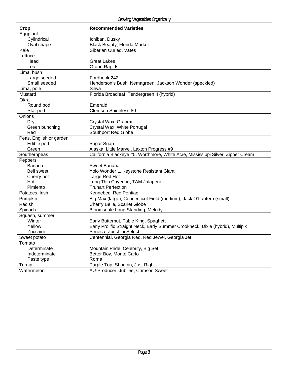| Crop                    | <b>Recommended Varieties</b>                                                    |
|-------------------------|---------------------------------------------------------------------------------|
| Eggplant                |                                                                                 |
| Cylindrical             | Ichiban, Dusky                                                                  |
| Oval shape              | <b>Black Beauty, Florida Market</b>                                             |
| Kale                    | Siberian Curled, Vates                                                          |
| Lettuce                 |                                                                                 |
| Head                    | <b>Great Lakes</b>                                                              |
| Leaf                    | <b>Grand Rapids</b>                                                             |
| Lima, bush              |                                                                                 |
| Large seeded            | Fordhook 242                                                                    |
| Small seeded            | Henderson's Bush, Nemagreen, Jackson Wonder (speckled)                          |
| Lima, pole              | Sieva                                                                           |
| Mustard                 | Florida Broadleaf, Tendergreen II (hybrid)                                      |
| Okra                    |                                                                                 |
| Round pod               | Emerald                                                                         |
| Star pod                | Clemson Spineless 80                                                            |
| Onions                  |                                                                                 |
| Dry                     | Crystal Wax, Granex                                                             |
| Green bunching          | Crystal Wax, White Portugal                                                     |
| Red                     | Southport Red Globe                                                             |
| Peas, English or garden |                                                                                 |
| Edible pod              | Sugar Snap                                                                      |
| Green                   | Alaska, Little Marvel, Laxton Progress #9                                       |
| Southernpeas            | California Blackeye #5, Worthmore, White Acre, Mississippi Silver, Zipper Cream |
| Peppers                 |                                                                                 |
| <b>Banana</b>           | Sweet Banana                                                                    |
| <b>Bell sweet</b>       | Yolo Wonder L, Keystone Resistant Giant                                         |
| Cherry hot              | Large Red Hot                                                                   |
| Hot                     | Long Thin Cayenne, TAM Jalapeno                                                 |
| Pimiento                | <b>Truhart Perfection</b>                                                       |
| Potatoes, Irish         | Kennebec, Red Pontiac                                                           |
| Pumpkin                 | Big Max (large), Connecticut Field (medium), Jack O'Lantern (small)             |
| Radish                  | Cherry Belle, Scarlet Globe                                                     |
| Spinach                 | Bloomsdale Long Standing, Melody                                                |
| Squash, summer          |                                                                                 |
| Winter                  | Early Butternut, Table King, Spaghetti                                          |
| Yellow                  | Early Prolific Straight Neck, Early Summer Crookneck, Dixie (hybrid), Multipik  |
| Zucchini                | Seneca, Zucchini Select                                                         |
| Sweet potato            | Centennial, Georgia Red, Red Jewel, Georgia Jet                                 |
| Tomato                  |                                                                                 |
| Determinate             | Mountain Pride, Celebrity, Big Set                                              |
| Indeterminate           | Better Boy, Monte Carlo                                                         |
| Paste type              | Roma                                                                            |
| Turnip                  | Purple Top, Shogoin, Just Right                                                 |
| Watermelon              | AU-Producer, Jubilee, Crimson Sweet                                             |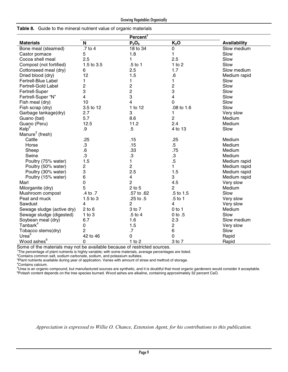|                             |                         | Percent <sup>T</sup>    |                  |                     |
|-----------------------------|-------------------------|-------------------------|------------------|---------------------|
| <b>Materials</b>            | $\mathsf{N}$            | $P_2O_5$                | K <sub>2</sub> O | <b>Availability</b> |
| Bone meal (steamed)         | $.7$ to 4               | 18 to 34                | 0                | Slow medium         |
| Castor pomace               | 5                       | 1.8                     | 1                | Slow                |
| Cocoa shell meal            | 2.5                     | 1                       | 2.5              | Slow                |
| Compost (not fortified)     | 1.5 to 3.5              | .5 to 1                 | 1 to $2$         | Slow                |
| Cottonseed meal (dry)       | 6                       | 2.5                     | 1.7              | Slow medium         |
| Dried blood (dry)           | 12                      | 1.5                     | ${\bf .6}$       | Medium rapid        |
| Fertrell-Blue Label         | 1                       | 1                       | $\mathbf{1}$     | Slow                |
| <b>Fertrell-Gold Label</b>  | 2                       | $\overline{c}$          | $\overline{c}$   | Slow                |
| Fertrell-Super              | 3                       | $\overline{c}$          | 3                | Slow                |
| Fertrell-Super "N"          | 4                       | 3                       | 4                | Slow                |
| Fish meal (dry)             | 10                      | 4                       | $\Omega$         | Slow                |
| Fish scrap (dry)            | 3.5 to 12               | 1 to 12                 | .08 to 1.6       | Slow                |
| Garbage tankage(dry)        | 2.7                     | 3                       | 1                | Very slow           |
| Guano (bat)                 | 5.7                     | 8.6                     | $\overline{c}$   | Medium              |
| Guano (Peru)                | 12.5                    | 11.2                    | 2.4              | Medium              |
| Kelp <sup>2</sup>           | .9                      | $.5\,$                  | 4 to 13          | Slow                |
| Manure <sup>3</sup> (fresh) |                         |                         |                  |                     |
| Cattle                      | .25                     | .15                     | .25              | Medium              |
| Horse                       | .3                      | .15                     | $.5\,$           | Medium              |
| Sheep                       | .6                      | .33                     | .75              | Medium              |
| Swine                       | $\cdot$ 3               | $\cdot$ 3               | $\cdot$ 3        | Medium              |
| Poultry (75% water)         | 1.5                     | 1                       | $.5\,$           | Medium rapid        |
| Poultry (50% water)         | $\overline{\mathbf{c}}$ | $\overline{c}$          | 1                | Medium rapid        |
| Poultry (30% water)         | 3                       | 2.5                     | 1.5              | Medium rapid        |
| Poultry (15% water)         | 6                       | $\overline{\mathbf{4}}$ | 3                | Medium rapid        |
| Marl                        | 0                       | $\overline{2}$          | 4.5              | Very slow           |
| Milorganite (dry)           | 5                       | $2$ to $5$              | $\overline{c}$   | Medium              |
| Mushroom compost            | .4 to .7                | .57 to .62              | .5 to 1.5        | Slow                |
| Peat and muck               | 1.5 to 3                | .25 to .5               | .5 to 1          | Very slow           |
| Sawdust                     | 4                       | $\overline{c}$          | 4                | Very slow           |
| Sewage sludge (active dry)  | $2$ to $6$              | 3 to 7                  | $0$ to 1         | Medium              |
| Sewage sludge (digested)    | $1$ to $3$              | .5 to 4                 | 0 to .5          | Slow                |
| Soybean meal (dry)          | 6.7                     | 1.6                     | 2.3              | Slow medium         |
| Tanbark <sup>4</sup>        | 0                       | 1.5                     | $\mathbf 2$      | Very slow           |
| Tobacco stems(dry)          | $\overline{c}$          | .7                      | $\,6\,$          | Slow                |
| Urea <sup>5</sup>           | 42 to 46                | $\mathbf 0$             | $\mathbf 0$      | Rapid               |
| Wood ashes <sup>6</sup>     | 0                       | $1$ to $2$              | 3 to 7           | Rapid               |

**Table 8.** Guide to the mineral nutrient value of organic materials

Some of the materials may not be available because of restricted sources. 1 The percentage of plant nutrients is highly variable; with some materials, average percentages are listed.

2 Contains common salt, sodium carbonate, sodium, and potassium sulfates. 3 Plant nutrients available during year of application. Varies with amount of straw and method of storage. 4 Contains calcium.

5 Urea is an organic compound, but manufactured sources are synthetic, and it is doubtful that most organic gardeners would consider it acceptable. <sup>6</sup>Potash content depends on the tree species burned. Wood ashes are alkaline, containing approximately 32 percent CaO.

*Appreciation is expressed to Willie O. Chance, Extension Agent, for his contributions to this publication.*